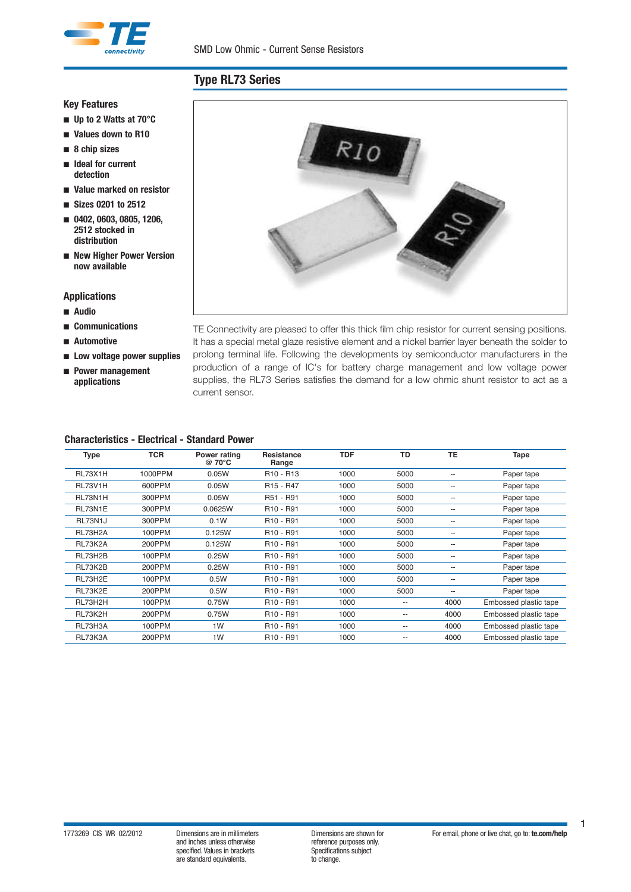

### **Key Features**

- n **Up to 2 Watts at 70°C**
- n **Values down to R10**
- n **8 chip sizes**
- n **Ideal for current detection**
- n **Value marked on resistor**
- n **Sizes 0201 to 2512**
- n **0402, 0603, 0805, 1206, 2512 stocked in distribution**
- n **New Higher Power Version now available**

### **Applications**

- n **Audio**
- n **Communications**
- n **Automotive**
- n **Low voltage power supplies**
- n **Power management applications**

TE Connectivity are pleased to offer this thick film chip resistor for current sensing positions. It has a special metal glaze resistive element and a nickel barrier layer beneath the solder to prolong terminal life. Following the developments by semiconductor manufacturers in the production of a range of IC's for battery charge management and low voltage power supplies, the RL73 Series satisfies the demand for a low ohmic shunt resistor to act as a

 $RIO$ 

## **Characteristics - Electrical - Standard Power**

current sensor.

| <b>Type</b>    | <b>TCR</b> | Power rating<br>@ 70°C | <b>Resistance</b><br>Range        | <b>TDF</b> | <b>TD</b>                | <b>TE</b>                | Tape                  |
|----------------|------------|------------------------|-----------------------------------|------------|--------------------------|--------------------------|-----------------------|
| RL73X1H        | 1000PPM    | 0.05W                  | R <sub>10</sub> - R <sub>13</sub> | 1000       | 5000                     | $\overline{\phantom{a}}$ | Paper tape            |
| <b>RL73V1H</b> | 600PPM     | 0.05W                  | R <sub>15</sub> - R <sub>47</sub> | 1000       | 5000                     | $-$                      | Paper tape            |
| RL73N1H        | 300PPM     | 0.05W                  | R51 - R91                         | 1000       | 5000                     | $-$                      | Paper tape            |
| RL73N1E        | 300PPM     | 0.0625W                | R <sub>10</sub> - R <sub>91</sub> | 1000       | 5000                     | $\overline{\phantom{m}}$ | Paper tape            |
| RL73N1J        | 300PPM     | 0.1W                   | R <sub>10</sub> - R <sub>91</sub> | 1000       | 5000                     | $\overline{\phantom{a}}$ | Paper tape            |
| RL73H2A        | 100PPM     | 0.125W                 | R <sub>10</sub> - R <sub>91</sub> | 1000       | 5000                     | $-$                      | Paper tape            |
| RL73K2A        | 200PPM     | 0.125W                 | R <sub>10</sub> - R <sub>91</sub> | 1000       | 5000                     | $- -$                    | Paper tape            |
| RL73H2B        | 100PPM     | 0.25W                  | R <sub>10</sub> - R <sub>91</sub> | 1000       | 5000                     | $\overline{\phantom{a}}$ | Paper tape            |
| RL73K2B        | 200PPM     | 0.25W                  | R <sub>10</sub> - R <sub>91</sub> | 1000       | 5000                     | --                       | Paper tape            |
| RL73H2E        | 100PPM     | 0.5W                   | R <sub>10</sub> - R <sub>91</sub> | 1000       | 5000                     | $\overline{\phantom{m}}$ | Paper tape            |
| RL73K2E        | 200PPM     | 0.5W                   | R <sub>10</sub> - R <sub>91</sub> | 1000       | 5000                     | $- -$                    | Paper tape            |
| RL73H2H        | 100PPM     | 0.75W                  | R <sub>10</sub> - R <sub>91</sub> | 1000       | $- -$                    | 4000                     | Embossed plastic tape |
| RL73K2H        | 200PPM     | 0.75W                  | R <sub>10</sub> - R <sub>91</sub> | 1000       | $\overline{\phantom{a}}$ | 4000                     | Embossed plastic tape |
| RL73H3A        | 100PPM     | 1W                     | R <sub>10</sub> - R <sub>91</sub> | 1000       | $\overline{\phantom{a}}$ | 4000                     | Embossed plastic tape |
| RL73K3A        | 200PPM     | 1W                     | R <sub>10</sub> - R <sub>91</sub> | 1000       | $-$                      | 4000                     | Embossed plastic tape |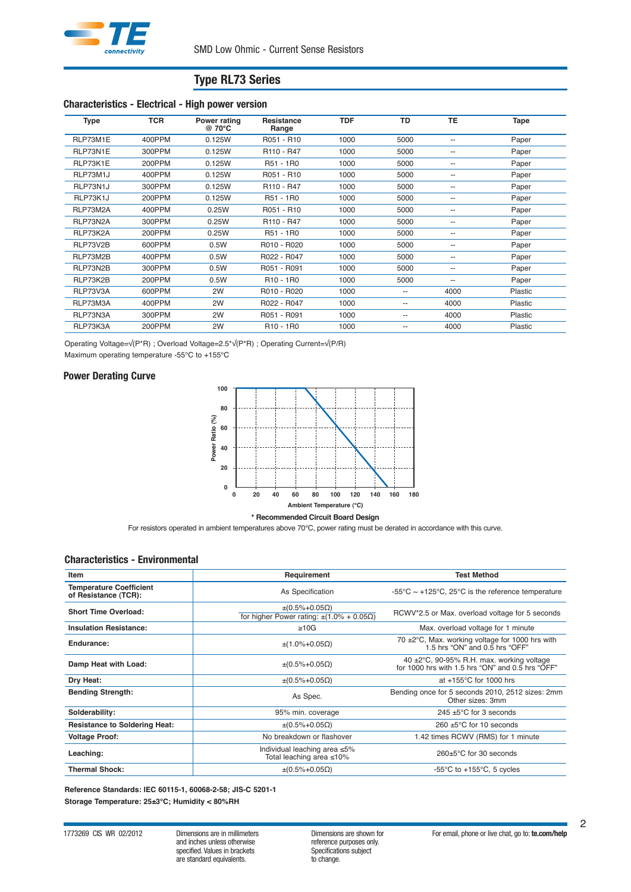

### **Characteristics - Electrical - High power version**

| <b>Type</b> | <b>TCR</b> | Power rating<br>@ 70°C | <b>Resistance</b><br>Range         | <b>TDF</b> | <b>TD</b>                | <b>TE</b>                | Tape    |
|-------------|------------|------------------------|------------------------------------|------------|--------------------------|--------------------------|---------|
| RLP73M1E    | 400PPM     | 0.125W                 | R051 - R10                         | 1000       | 5000                     | $\overline{\phantom{a}}$ | Paper   |
| RLP73N1E    | 300PPM     | 0.125W                 | R <sub>110</sub> - R <sub>47</sub> | 1000       | 5000                     | $\overline{\phantom{a}}$ | Paper   |
| RLP73K1E    | 200PPM     | 0.125W                 | R51 - 1R0                          | 1000       | 5000                     | $\overline{\phantom{a}}$ | Paper   |
| RLP73M1J    | 400PPM     | 0.125W                 | R051 - R10                         | 1000       | 5000                     | $\overline{\phantom{m}}$ | Paper   |
| RLP73N1J    | 300PPM     | 0.125W                 | R110 - R47                         | 1000       | 5000                     | $\overline{\phantom{m}}$ | Paper   |
| RLP73K1J    | 200PPM     | 0.125W                 | R51 - 1R0                          | 1000       | 5000                     | $\overline{\phantom{m}}$ | Paper   |
| RLP73M2A    | 400PPM     | 0.25W                  | R051 - R10                         | 1000       | 5000                     | $\overline{\phantom{m}}$ | Paper   |
| RLP73N2A    | 300PPM     | 0.25W                  | R <sub>110</sub> - R <sub>47</sub> | 1000       | 5000                     | $\overline{\phantom{a}}$ | Paper   |
| RLP73K2A    | 200PPM     | 0.25W                  | R51 - 1R0                          | 1000       | 5000                     | $\overline{\phantom{m}}$ | Paper   |
| RLP73V2B    | 600PPM     | 0.5W                   | R010 - R020                        | 1000       | 5000                     | --                       | Paper   |
| RLP73M2B    | 400PPM     | 0.5W                   | R022 - R047                        | 1000       | 5000                     | --                       | Paper   |
| RLP73N2B    | 300PPM     | 0.5W                   | R051 - R091                        | 1000       | 5000                     | $\overline{\phantom{a}}$ | Paper   |
| RLP73K2B    | 200PPM     | 0.5W                   | R <sub>10</sub> - 1 <sub>R0</sub>  | 1000       | 5000                     | $\overline{\phantom{m}}$ | Paper   |
| RLP73V3A    | 600PPM     | 2W                     | R010 - R020                        | 1000       | $\qquad \qquad \cdots$   | 4000                     | Plastic |
| RLP73M3A    | 400PPM     | 2W                     | R022 - R047                        | 1000       | $\overline{\phantom{a}}$ | 4000                     | Plastic |
| RLP73N3A    | 300PPM     | 2W                     | R051 - R091                        | 1000       | $\overline{\phantom{a}}$ | 4000                     | Plastic |
| RLP73K3A    | 200PPM     | 2W                     | R <sub>10</sub> - 1 <sub>R0</sub>  | 1000       | $\overline{\phantom{a}}$ | 4000                     | Plastic |

Operating Voltage=√(P\*R) ; Overload Voltage=2.5\*√(P\*R) ; Operating Current=√(P/R)

Maximum operating temperature -55°C to +155°C

## **Power Derating Curve**



**\* Recommended Circuit Board Design**

For resistors operated in ambient temperatures above 70°C, power rating must be derated in accordance with this curve.

#### **Characteristics - Environmental**

| Item                                                   | Requirement                                                                      | <b>Test Method</b>                                                                               |
|--------------------------------------------------------|----------------------------------------------------------------------------------|--------------------------------------------------------------------------------------------------|
| <b>Temperature Coefficient</b><br>of Resistance (TCR): | As Specification                                                                 | $-55^{\circ}$ C ~ +125°C, 25°C is the reference temperature                                      |
| <b>Short Time Overload:</b>                            | $\pm (0.5\% + 0.05\Omega)$<br>for higher Power rating: $\pm(1.0\% + 0.05\Omega)$ | RCWV*2.5 or Max. overload voltage for 5 seconds                                                  |
| <b>Insulation Resistance:</b>                          | $\geq 10G$                                                                       | Max. overload voltage for 1 minute                                                               |
| Endurance:                                             | $\pm$ (1.0%+0.05Ω)                                                               | 70 $\pm$ 2 $\degree$ C, Max. working voltage for 1000 hrs with<br>1.5 hrs "ON" and 0.5 hrs "OFF" |
| Damp Heat with Load:                                   | $\pm (0.5\% + 0.05\Omega)$                                                       | 40 ±2°C, 90-95% R.H. max. working voltage<br>for 1000 hrs with 1.5 hrs "ON" and 0.5 hrs "OFF"    |
| Dry Heat:                                              | $\pm (0.5\% + 0.05\Omega)$                                                       | at $+155^{\circ}$ C for 1000 hrs                                                                 |
| <b>Bending Strength:</b>                               | As Spec.                                                                         | Bending once for 5 seconds 2010, 2512 sizes: 2mm<br>Other sizes: 3mm                             |
| Solderability:                                         | 95% min. coverage                                                                | 245 $\pm$ 5 $\degree$ C for 3 seconds                                                            |
| <b>Resistance to Soldering Heat:</b>                   | $\pm (0.5\% + 0.05\Omega)$                                                       | 260 $\pm$ 5°C for 10 seconds                                                                     |
| <b>Voltage Proof:</b>                                  | No breakdown or flashover                                                        | 1.42 times RCWV (RMS) for 1 minute                                                               |
| Leaching:                                              | Individual leaching area ≤5%<br>Total leaching area ≤10%                         | 260±5°C for 30 seconds                                                                           |
| <b>Thermal Shock:</b>                                  | $\pm (0.5\% + 0.05\Omega)$                                                       | -55 $\mathrm{^{\circ}C}$ to +155 $\mathrm{^{\circ}C}$ , 5 cycles                                 |

**Reference Standards: IEC 60115-1, 60068-2-58; JIS-C 5201-1 Storage Temperature: 25±3°C; Humidity < 80%RH**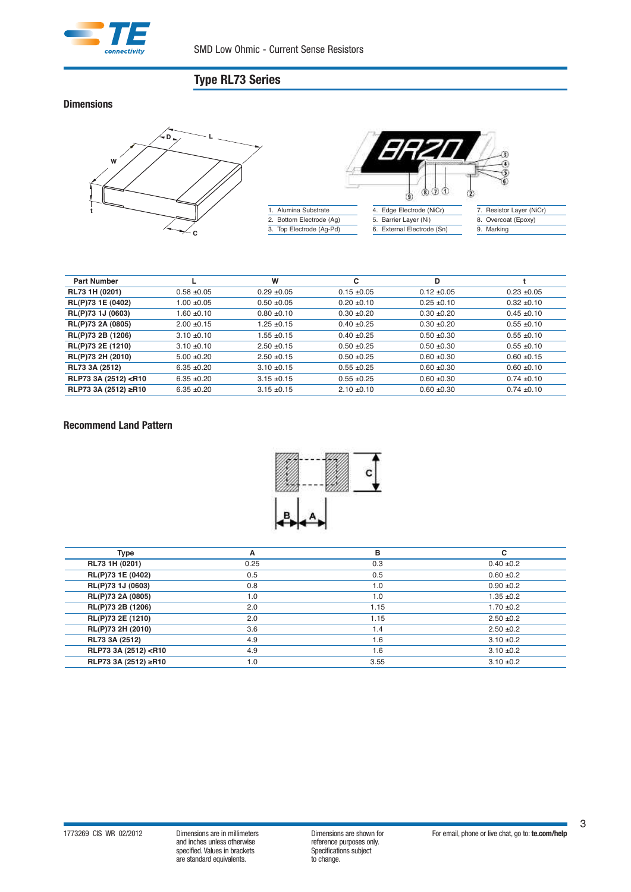

**Dimensions**



| <b>Part Number</b>                                                                                                                                                                                           |                 | W               | с               | D               |                 |
|--------------------------------------------------------------------------------------------------------------------------------------------------------------------------------------------------------------|-----------------|-----------------|-----------------|-----------------|-----------------|
| RL73 1H (0201)                                                                                                                                                                                               | $0.58 + 0.05$   | $0.29 + 0.05$   | $0.15 \pm 0.05$ | $0.12 \pm 0.05$ | $0.23 + 0.05$   |
| RL(P)73 1E (0402)                                                                                                                                                                                            | $1.00 + 0.05$   | $0.50 + 0.05$   | $0.20 + 0.10$   | $0.25 + 0.10$   | $0.32 \pm 0.10$ |
| RL(P)73 1J (0603)                                                                                                                                                                                            | 1.60 ±0.10      | $0.80 + 0.10$   | $0.30 + 0.20$   | $0.30 + 0.20$   | $0.45 \pm 0.10$ |
| RL(P)73 2A (0805)                                                                                                                                                                                            | $2.00 + 0.15$   | $1.25 + 0.15$   | $0.40 \pm 0.25$ | $0.30 + 0.20$   | $0.55 \pm 0.10$ |
| RL(P)73 2B (1206)                                                                                                                                                                                            | $3.10 \pm 0.10$ | $1.55 + 0.15$   | $0.40 + 0.25$   | $0.50 + 0.30$   | $0.55 \pm 0.10$ |
| RL(P)73 2E (1210)                                                                                                                                                                                            | $3.10 \pm 0.10$ | $2.50 + 0.15$   | $0.50 + 0.25$   | $0.50 + 0.30$   | $0.55 \pm 0.10$ |
| RL(P)73 2H (2010)                                                                                                                                                                                            | $5.00 + 0.20$   | $2.50 + 0.15$   | $0.50 + 0.25$   | $0.60 + 0.30$   | $0.60 + 0.15$   |
| RL73 3A (2512)                                                                                                                                                                                               | $6.35 + 0.20$   | $3.10 \pm 0.15$ | $0.55 + 0.25$   | $0.60 + 0.30$   | $0.60 \pm 0.10$ |
| RLP73 3A (2512) <r10< th=""><th><math>6.35 + 0.20</math></th><th><math>3.15 \pm 0.15</math></th><th><math>0.55 + 0.25</math></th><th><math>0.60 + 0.30</math></th><th><math>0.74 \pm 0.10</math></th></r10<> | $6.35 + 0.20$   | $3.15 \pm 0.15$ | $0.55 + 0.25$   | $0.60 + 0.30$   | $0.74 \pm 0.10$ |
| RLP73 3A (2512) ≥R10                                                                                                                                                                                         | $6.35 + 0.20$   | $3.15 + 0.15$   | $2.10 \pm 0.10$ | $0.60 + 0.30$   | $0.74 \pm 0.10$ |

## **Recommend Land Pattern**



| Type                                                                                          | А    | в    | c              |
|-----------------------------------------------------------------------------------------------|------|------|----------------|
| RL73 1H (0201)                                                                                | 0.25 | 0.3  | $0.40 \pm 0.2$ |
| RL(P)73 1E (0402)                                                                             | 0.5  | 0.5  | $0.60 \pm 0.2$ |
| RL(P)73 1J (0603)                                                                             | 0.8  | 1.0  | $0.90 \pm 0.2$ |
| RL(P)73 2A (0805)                                                                             | 1.0  | 1.0  | $1.35 + 0.2$   |
| RL(P)73 2B (1206)                                                                             | 2.0  | 1.15 | $1.70 \pm 0.2$ |
| RL(P)73 2E (1210)                                                                             | 2.0  | 1.15 | $2.50 + 0.2$   |
| RL(P)73 2H (2010)                                                                             | 3.6  | 1.4  | $2.50 \pm 0.2$ |
| RL73 3A (2512)                                                                                | 4.9  | 1.6  | $3.10 \pm 0.2$ |
| RLP73 3A (2512) <r10< th=""><th>4.9</th><th>1.6</th><th><math>3.10 \pm 0.2</math></th></r10<> | 4.9  | 1.6  | $3.10 \pm 0.2$ |
| RLP73 3A (2512) ≥R10                                                                          | 1.0  | 3.55 | $3.10 \pm 0.2$ |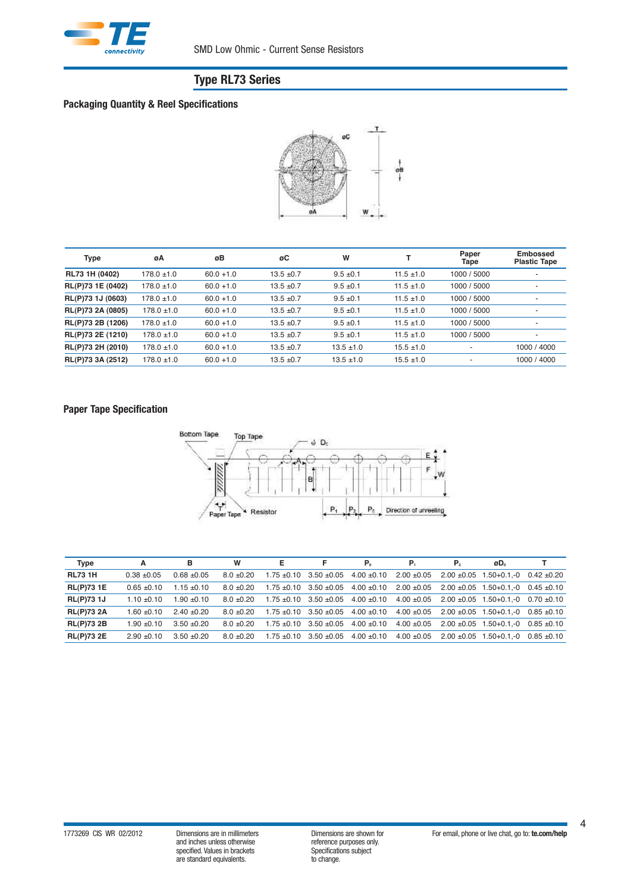

## **Packaging Quantity & Reel Specifications**



| <b>Type</b>       | øΑ              | øΒ           | øC             | W              |                | Paper<br>Tape | <b>Embossed</b><br><b>Plastic Tape</b> |
|-------------------|-----------------|--------------|----------------|----------------|----------------|---------------|----------------------------------------|
| RL73 1H (0402)    | $178.0 \pm 1.0$ | $60.0 + 1.0$ | $13.5 \pm 0.7$ | $9.5 \pm 0.1$  | $11.5 \pm 1.0$ | 1000 / 5000   |                                        |
| RL(P)73 1E (0402) | $178.0 \pm 1.0$ | $60.0 + 1.0$ | $13.5 \pm 0.7$ | $9.5 \pm 0.1$  | $11.5 \pm 1.0$ | 1000 / 5000   | $\overline{\phantom{a}}$               |
| RL(P)73 1J (0603) | $178.0 \pm 1.0$ | $60.0 + 1.0$ | $13.5 \pm 0.7$ | $9.5 \pm 0.1$  | $11.5 \pm 1.0$ | 1000 / 5000   | ٠                                      |
| RL(P)73 2A (0805) | $178.0 \pm 1.0$ | $60.0 + 1.0$ | $13.5 \pm 0.7$ | $9.5 \pm 0.1$  | $11.5 \pm 1.0$ | 1000 / 5000   | $\overline{\phantom{a}}$               |
| RL(P)73 2B (1206) | $178.0 \pm 1.0$ | $60.0 + 1.0$ | $13.5 \pm 0.7$ | $9.5 \pm 0.1$  | $11.5 \pm 1.0$ | 1000 / 5000   | ٠                                      |
| RL(P)73 2E (1210) | $178.0 \pm 1.0$ | $60.0 + 1.0$ | $13.5 \pm 0.7$ | $9.5 \pm 0.1$  | $11.5 \pm 1.0$ | 1000 / 5000   | $\overline{\phantom{a}}$               |
| RL(P)73 2H (2010) | $178.0 \pm 1.0$ | $60.0 + 1.0$ | $13.5 \pm 0.7$ | $13.5 \pm 1.0$ | $15.5 \pm 1.0$ | ٠             | 1000 / 4000                            |
| RL(P)73 3A (2512) | $178.0 \pm 1.0$ | $60.0 + 1.0$ | $13.5 \pm 0.7$ | $13.5 \pm 1.0$ | $15.5 \pm 1.0$ | ٠             | 1000 / 4000                            |

## **Paper Tape Specification**



| <b>Type</b>       | A             | в               | W              | Е |                                                 | P.                                              | Р.              | P <sub>2</sub> | øD.                                  |                 |
|-------------------|---------------|-----------------|----------------|---|-------------------------------------------------|-------------------------------------------------|-----------------|----------------|--------------------------------------|-----------------|
| <b>RL73 1H</b>    | $0.38 + 0.05$ | $0.68 + 0.05$   | $8.0 + 0.20$   |   | $1.75 \pm 0.10$ $3.50 \pm 0.05$ $4.00 \pm 0.10$ |                                                 | $2.00 \pm 0.05$ |                | $2.00 + 0.05$ 1.50+0.1.-0 0.42 +0.20 |                 |
| <b>RL(P)731E</b>  | $0.65 + 0.10$ | $1.15 \pm 0.10$ | $8.0 + 0.20$   |   | $1.75 \pm 0.10$ $3.50 \pm 0.05$ $4.00 \pm 0.10$ |                                                 | $2.00 \pm 0.05$ |                | $2.00 + 0.05$ 1.50+0.1.-0 0.45 +0.10 |                 |
| <b>RL(P)73 1J</b> | $1.10 + 0.10$ | $1.90 \pm 0.10$ | $8.0 \pm 0.20$ |   |                                                 | $1.75 \pm 0.10$ $3.50 \pm 0.05$ $4.00 \pm 0.10$ | $4.00 \pm 0.05$ |                | $2.00 + 0.05$ 1.50+0.1.-0            | $0.70 \pm 0.10$ |
| <b>RL(P)73 2A</b> | $1.60 + 0.10$ | $2.40 + 0.20$   | 8 0 + 0 2 0    |   | $1.75 \pm 0.10$ $3.50 \pm 0.05$                 | $4.00 \pm 0.10$                                 | $4.00 + 0.05$   |                | $2.00 \pm 0.05$ 1.50+0.1.-0          | $0.85 \pm 0.10$ |
| <b>RL(P)73 2B</b> | $1.90 + 0.10$ | $3.50 + 0.20$   | $8.0 + 0.20$   |   | $1.75 \pm 0.10$ $3.50 \pm 0.05$ $4.00 \pm 0.10$ |                                                 | $4.00 + 0.05$   |                | $2.00 + 0.05$ 1.50+0.1.-0            | $0.85 + 0.10$   |
| <b>RL(P)73 2E</b> | $2.90 + 0.10$ | $3.50 + 0.20$   | $8.0 + 0.20$   |   | $1.75 \pm 0.10$ $3.50 \pm 0.05$ $4.00 \pm 0.10$ |                                                 | $4.00 \pm 0.05$ |                | $2.00 \pm 0.05$ 1.50+0.1.-0          | $0.85 + 0.10$   |